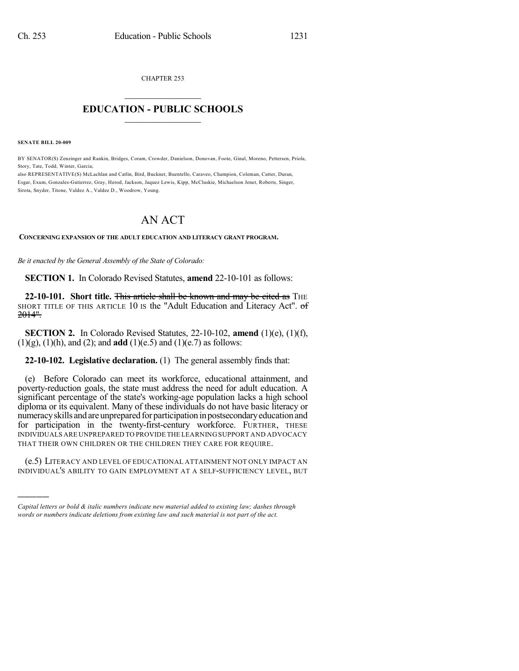CHAPTER 253

## $\overline{\phantom{a}}$  . The set of the set of the set of the set of the set of the set of the set of the set of the set of the set of the set of the set of the set of the set of the set of the set of the set of the set of the set o **EDUCATION - PUBLIC SCHOOLS**  $\_$   $\_$   $\_$   $\_$   $\_$   $\_$   $\_$   $\_$   $\_$

**SENATE BILL 20-009**

)))))

BY SENATOR(S) Zenzinger and Rankin, Bridges, Coram, Crowder, Danielson, Donovan, Foote, Ginal, Moreno, Pettersen, Priola, Story, Tate, Todd, Winter, Garcia;

also REPRESENTATIVE(S) McLachlan and Catlin, Bird, Buckner, Buentello, Caraveo, Champion, Coleman, Cutter, Duran, Esgar, Exum, Gonzales-Gutierrez, Gray, Herod, Jackson, Jaquez Lewis, Kipp, McCluskie, Michaelson Jenet, Roberts, Singer, Sirota, Snyder, Titone, Valdez A., Valdez D., Woodrow, Young.

## AN ACT

**CONCERNING EXPANSION OF THE ADULT EDUCATION AND LITERACY GRANT PROGRAM.**

*Be it enacted by the General Assembly of the State of Colorado:*

**SECTION 1.** In Colorado Revised Statutes, **amend** 22-10-101 as follows:

**22-10-101. Short title.** This article shall be known and may be cited as THE SHORT TITLE OF THIS ARTICLE 10 IS the "Adult Education and Literacy Act". of 2014".

**SECTION 2.** In Colorado Revised Statutes, 22-10-102, **amend** (1)(e), (1)(f), (1)(g), (1)(h), and (2); and **add** (1)(e.5) and (1)(e.7) as follows:

**22-10-102. Legislative declaration.** (1) The general assembly finds that:

(e) Before Colorado can meet its workforce, educational attainment, and poverty-reduction goals, the state must address the need for adult education. A significant percentage of the state's working-age population lacks a high school diploma or its equivalent. Many of these individuals do not have basic literacy or numeracy skills and are unprepared for participation in postsecondary education and for participation in the twenty-first-century workforce. FURTHER, THESE INDIVIDUALS ARE UNPREPARED TO PROVIDE THE LEARNING SUPPORT AND ADVOCACY THAT THEIR OWN CHILDREN OR THE CHILDREN THEY CARE FOR REQUIRE.

(e.5) LITERACY AND LEVEL OF EDUCATIONAL ATTAINMENT NOT ONLY IMPACT AN INDIVIDUAL'S ABILITY TO GAIN EMPLOYMENT AT A SELF-SUFFICIENCY LEVEL, BUT

*Capital letters or bold & italic numbers indicate new material added to existing law; dashes through words or numbers indicate deletions from existing law and such material is not part of the act.*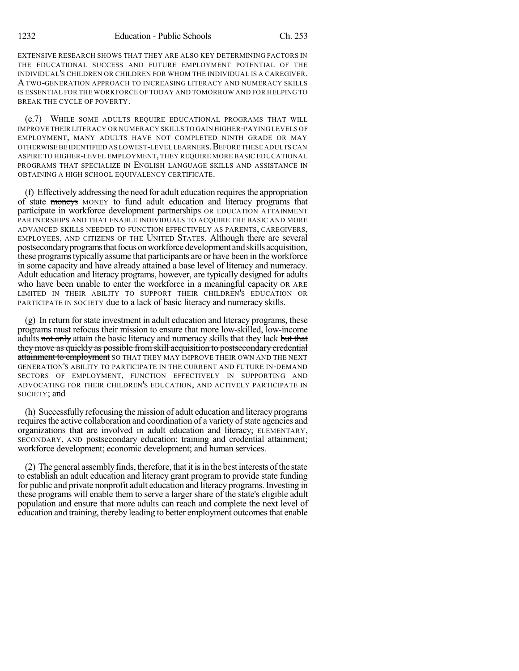EXTENSIVE RESEARCH SHOWS THAT THEY ARE ALSO KEY DETERMINING FACTORS IN THE EDUCATIONAL SUCCESS AND FUTURE EMPLOYMENT POTENTIAL OF THE INDIVIDUAL'S CHILDREN OR CHILDREN FOR WHOM THE INDIVIDUAL IS A CAREGIVER. A TWO-GENERATION APPROACH TO INCREASING LITERACY AND NUMERACY SKILLS IS ESSENTIAL FOR THE WORKFORCE OF TODAY AND TOMORROW AND FOR HELPING TO BREAK THE CYCLE OF POVERTY.

(e.7) WHILE SOME ADULTS REQUIRE EDUCATIONAL PROGRAMS THAT WILL IMPROVE THEIR LITERACY OR NUMERACY SKILLS TO GAIN HIGHER-PAYING LEVELS OF EMPLOYMENT, MANY ADULTS HAVE NOT COMPLETED NINTH GRADE OR MAY OTHERWISE BE IDENTIFIED AS LOWEST-LEVEL LEARNERS. BEFORE THESE ADULTS CAN ASPIRE TO HIGHER-LEVEL EMPLOYMENT, THEY REQUIRE MORE BASIC EDUCATIONAL PROGRAMS THAT SPECIALIZE IN ENGLISH LANGUAGE SKILLS AND ASSISTANCE IN OBTAINING A HIGH SCHOOL EQUIVALENCY CERTIFICATE.

 $(f)$  Effectively addressing the need for adult education requires the appropriation of state moneys MONEY to fund adult education and literacy programs that participate in workforce development partnerships OR EDUCATION ATTAINMENT PARTNERSHIPS AND THAT ENABLE INDIVIDUALS TO ACQUIRE THE BASIC AND MORE ADVANCED SKILLS NEEDED TO FUNCTION EFFECTIVELY AS PARENTS, CAREGIVERS, EMPLOYEES, AND CITIZENS OF THE UNITED STATES. Although there are several postsecondary programs that focus on workforce development and skills acquisition, these programstypically assume that participants are or have been in the workforce in some capacity and have already attained a base level of literacy and numeracy. Adult education and literacy programs, however, are typically designed for adults who have been unable to enter the workforce in a meaningful capacity OR ARE LIMITED IN THEIR ABILITY TO SUPPORT THEIR CHILDREN'S EDUCATION OR PARTICIPATE IN SOCIETY due to a lack of basic literacy and numeracy skills.

(g) In return forstate investment in adult education and literacy programs, these programs must refocus their mission to ensure that more low-skilled, low-income adults not only attain the basic literacy and numeracy skills that they lack but that they move as quickly as possible fromskill acquisition to postsecondary credential attainment to employment SO THAT THEY MAY IMPROVE THEIR OWN AND THE NEXT GENERATION'S ABILITY TO PARTICIPATE IN THE CURRENT AND FUTURE IN-DEMAND SECTORS OF EMPLOYMENT, FUNCTION EFFECTIVELY IN SUPPORTING AND ADVOCATING FOR THEIR CHILDREN'S EDUCATION, AND ACTIVELY PARTICIPATE IN SOCIETY; and

(h) Successfully refocusing the mission of adult education and literacy programs requires the active collaboration and coordination of a variety of state agencies and organizations that are involved in adult education and literacy; ELEMENTARY, SECONDARY, AND postsecondary education; training and credential attainment; workforce development; economic development; and human services.

(2) The general assemblyfinds, therefore, that it isin the best interests ofthe state to establish an adult education and literacy grant program to provide state funding for public and private nonprofit adult education and literacy programs. Investing in these programs will enable them to serve a larger share of the state's eligible adult population and ensure that more adults can reach and complete the next level of education and training, thereby leading to better employment outcomes that enable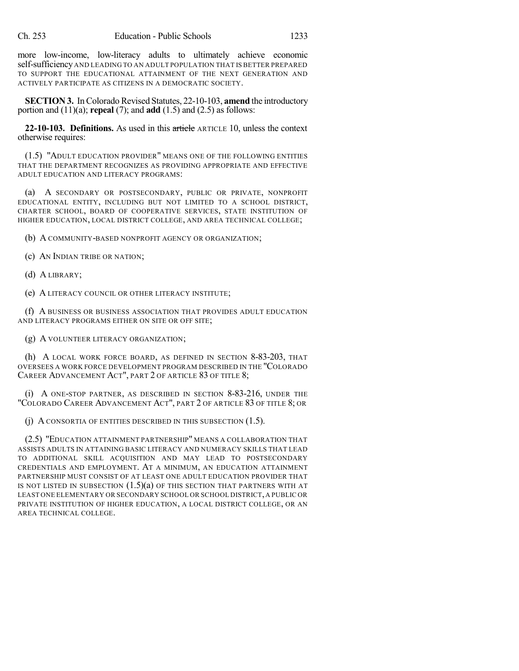more low-income, low-literacy adults to ultimately achieve economic self-sufficiency AND LEADING TO AN ADULT POPULATION THAT IS BETTER PREPARED TO SUPPORT THE EDUCATIONAL ATTAINMENT OF THE NEXT GENERATION AND ACTIVELY PARTICIPATE AS CITIZENS IN A DEMOCRATIC SOCIETY.

**SECTION 3.** In Colorado Revised Statutes, 22-10-103, **amend** the introductory portion and (11)(a); **repeal** (7); and **add** (1.5) and (2.5) as follows:

**22-10-103. Definitions.** As used in this article ARTICLE 10, unless the context otherwise requires:

(1.5) "ADULT EDUCATION PROVIDER" MEANS ONE OF THE FOLLOWING ENTITIES THAT THE DEPARTMENT RECOGNIZES AS PROVIDING APPROPRIATE AND EFFECTIVE ADULT EDUCATION AND LITERACY PROGRAMS:

(a) A SECONDARY OR POSTSECONDARY, PUBLIC OR PRIVATE, NONPROFIT EDUCATIONAL ENTITY, INCLUDING BUT NOT LIMITED TO A SCHOOL DISTRICT, CHARTER SCHOOL, BOARD OF COOPERATIVE SERVICES, STATE INSTITUTION OF HIGHER EDUCATION, LOCAL DISTRICT COLLEGE, AND AREA TECHNICAL COLLEGE;

(b) A COMMUNITY-BASED NONPROFIT AGENCY OR ORGANIZATION;

(c) AN INDIAN TRIBE OR NATION;

(d) A LIBRARY;

(e) A LITERACY COUNCIL OR OTHER LITERACY INSTITUTE;

(f) A BUSINESS OR BUSINESS ASSOCIATION THAT PROVIDES ADULT EDUCATION AND LITERACY PROGRAMS EITHER ON SITE OR OFF SITE;

(g) A VOLUNTEER LITERACY ORGANIZATION;

(h) A LOCAL WORK FORCE BOARD, AS DEFINED IN SECTION 8-83-203, THAT OVERSEES A WORK FORCE DEVELOPMENT PROGRAM DESCRIBED IN THE "COLORADO CAREER ADVANCEMENT ACT", PART 2 OF ARTICLE 83 OF TITLE 8;

(i) A ONE-STOP PARTNER, AS DESCRIBED IN SECTION 8-83-216, UNDER THE "COLORADO CAREER ADVANCEMENT ACT", PART 2 OF ARTICLE 83 OF TITLE 8; OR

(j) A CONSORTIA OF ENTITIES DESCRIBED IN THIS SUBSECTION (1.5).

(2.5) "EDUCATION ATTAINMENT PARTNERSHIP" MEANS A COLLABORATION THAT ASSISTS ADULTS IN ATTAINING BASIC LITERACY AND NUMERACY SKILLS THAT LEAD TO ADDITIONAL SKILL ACQUISITION AND MAY LEAD TO POSTSECONDARY CREDENTIALS AND EMPLOYMENT. AT A MINIMUM, AN EDUCATION ATTAINMENT PARTNERSHIP MUST CONSIST OF AT LEAST ONE ADULT EDUCATION PROVIDER THAT IS NOT LISTED IN SUBSECTION  $(1.5)(a)$  of this section that partners with at LEAST ONE ELEMENTARY OR SECONDARY SCHOOL OR SCHOOL DISTRICT,A PUBLIC OR PRIVATE INSTITUTION OF HIGHER EDUCATION, A LOCAL DISTRICT COLLEGE, OR AN AREA TECHNICAL COLLEGE.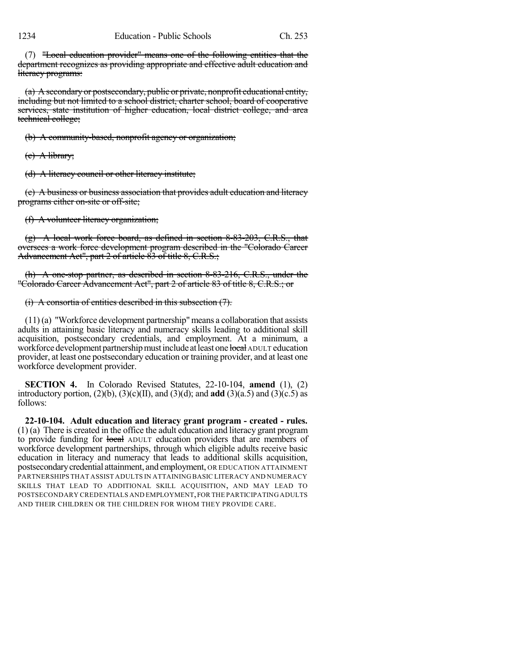(7) "Local education provider" means one of the following entities that the department recognizes as providing appropriate and effective adult education and literacy programs:

(a) A secondary or postsecondary, public or private, nonprofit educational entity, including but not limited to a school district, charter school, board of cooperative services, state institution of higher education, local district college, and area technical college;

(b) A community-based, nonprofit agency or organization;

 $(e)$  A library;

(d) A literacy council or other literacy institute;

(e) A business or business association that provides adult education and literacy programs either on-site or off-site;

(f) A volunteer literacy organization;

(g) A local work force board, as defined in section 8-83-203, C.R.S., that oversees a work force development program described in the "Colorado Career Advancement Act", part 2 of article 83 of title 8, C.R.S.;

(h) A one-stop partner, as described in section 8-83-216, C.R.S., under the "Colorado Career Advancement Act", part 2 of article 83 of title 8, C.R.S.; or

## (i) A consortia of entities described in this subsection (7).

 $(11)$  (a) "Workforce development partnership" means a collaboration that assists adults in attaining basic literacy and numeracy skills leading to additional skill acquisition, postsecondary credentials, and employment. At a minimum, a workforce development partnership must include at least one local ADULT education provider, at least one postsecondary education or training provider, and at least one workforce development provider.

**SECTION 4.** In Colorado Revised Statutes, 22-10-104, **amend** (1), (2) introductory portion,  $(2)(b)$ ,  $(3)(c)(II)$ , and  $(3)(d)$ ; and **add**  $(3)(a.5)$  and  $(3)(c.5)$  as follows:

**22-10-104. Adult education and literacy grant program - created - rules.** (1) (a) There is created in the office the adult education and literacy grant program to provide funding for local ADULT education providers that are members of workforce development partnerships, through which eligible adults receive basic education in literacy and numeracy that leads to additional skills acquisition, postsecondarycredential attainment, and employment, OR EDUCATION ATTAINMENT PARTNERSHIPS THAT ASSIST ADULTS IN ATTAINING BASIC LITERACY AND NUMERACY SKILLS THAT LEAD TO ADDITIONAL SKILL ACQUISITION, AND MAY LEAD TO POSTSECONDARY CREDENTIALS AND EMPLOYMENT,FOR THE PARTICIPATING ADULTS AND THEIR CHILDREN OR THE CHILDREN FOR WHOM THEY PROVIDE CARE.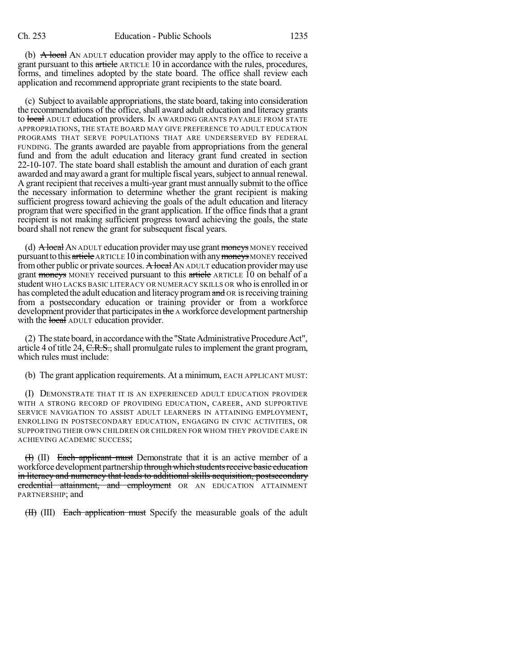(b)  $\overrightarrow{A}$  local AN ADULT education provider may apply to the office to receive a grant pursuant to this article ARTICLE 10 in accordance with the rules, procedures, forms, and timelines adopted by the state board. The office shall review each application and recommend appropriate grant recipients to the state board.

(c) Subject to available appropriations, the state board, taking into consideration the recommendations of the office, shall award adult education and literacy grants to local ADULT education providers. IN AWARDING GRANTS PAYABLE FROM STATE APPROPRIATIONS, THE STATE BOARD MAY GIVE PREFERENCE TO ADULT EDUCATION PROGRAMS THAT SERVE POPULATIONS THAT ARE UNDERSERVED BY FEDERAL FUNDING. The grants awarded are payable from appropriations from the general fund and from the adult education and literacy grant fund created in section 22-10-107. The state board shall establish the amount and duration of each grant awarded and may award a grant for multiple fiscal years, subject to annual renewal. A grant recipient that receives a multi-year grant must annually submit to the office the necessary information to determine whether the grant recipient is making sufficient progress toward achieving the goals of the adult education and literacy program that were specified in the grant application. If the office finds that a grant recipient is not making sufficient progress toward achieving the goals, the state board shall not renew the grant for subsequent fiscal years.

(d)  $\overrightarrow{A}$  local AN ADULT education provider may use grant moneys MONEY received pursuant to this article ARTICLE 10 in combination with any moneys MONEY received from other public or private sources. A local AN ADULT education provider may use grant moneys MONEY received pursuant to this article ARTICLE 10 on behalf of a student WHO LACKS BASIC LITERACY OR NUMERACY SKILLS OR who is enrolled in or has completed the adult education and literacy program and OR is receiving training from a postsecondary education or training provider or from a workforce development provider that participates in the A workforce development partnership with the local ADULT education provider.

(2) The state board, in accordance with the "State Administrative Procedure Act", article 4 of title 24,  $C.R.S.,$  shall promulgate rules to implement the grant program, which rules must include:

(b) The grant application requirements. At a minimum, EACH APPLICANT MUST:

(I) DEMONSTRATE THAT IT IS AN EXPERIENCED ADULT EDUCATION PROVIDER WITH A STRONG RECORD OF PROVIDING EDUCATION, CAREER, AND SUPPORTIVE SERVICE NAVIGATION TO ASSIST ADULT LEARNERS IN ATTAINING EMPLOYMENT, ENROLLING IN POSTSECONDARY EDUCATION, ENGAGING IN CIVIC ACTIVITIES, OR SUPPORTING THEIR OWN CHILDREN OR CHILDREN FOR WHOM THEY PROVIDE CARE IN ACHIEVING ACADEMIC SUCCESS;

(I) (II) Each applicant must Demonstrate that it is an active member of a workforce development partnership through which students receive basic education in literacy and numeracy that leads to additional skills acquisition, postsecondary eredential attainment, and employment OR AN EDUCATION ATTAINMENT PARTNERSHIP; and

(II) (III) Each application must Specify the measurable goals of the adult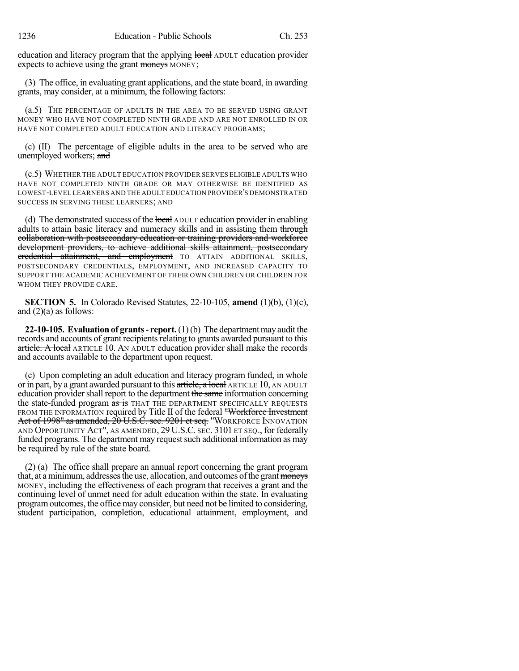education and literacy program that the applying local ADULT education provider expects to achieve using the grant moneys MONEY;

(3) The office, in evaluating grant applications, and the state board, in awarding grants, may consider, at a minimum, the following factors:

(a.5) THE PERCENTAGE OF ADULTS IN THE AREA TO BE SERVED USING GRANT MONEY WHO HAVE NOT COMPLETED NINTH GRADE AND ARE NOT ENROLLED IN OR HAVE NOT COMPLETED ADULT EDUCATION AND LITERACY PROGRAMS;

(c) (II) The percentage of eligible adults in the area to be served who are unemployed workers; and

(c.5) WHETHER THE ADULT EDUCATION PROVIDER SERVES ELIGIBLE ADULTS WHO HAVE NOT COMPLETED NINTH GRADE OR MAY OTHERWISE BE IDENTIFIED AS LOWEST-LEVEL LEARNERS AND THE ADULT EDUCATION PROVIDER'S DEMONSTRATED SUCCESS IN SERVING THESE LEARNERS; AND

(d) The demonstrated success of the local ADULT education provider in enabling adults to attain basic literacy and numeracy skills and in assisting them through collaboration with postsecondary education or training providers and workforce development providers, to achieve additional skills attainment, postsecondary credential attainment, and employment TO ATTAIN ADDITIONAL SKILLS, POSTSECONDARY CREDENTIALS, EMPLOYMENT, AND INCREASED CAPACITY TO SUPPORT THE ACADEMIC ACHIEVEMENT OF THEIR OWN CHILDREN OR CHILDREN FOR WHOM THEY PROVIDE CARE.

**SECTION 5.** In Colorado Revised Statutes, 22-10-105, **amend** (1)(b), (1)(c), and  $(2)(a)$  as follows:

**22-10-105. Evaluation of grants- report.**(1)(b) The departmentmay audit the records and accounts of grant recipients relating to grants awarded pursuant to this article. A local ARTICLE 10. AN ADULT education provider shall make the records and accounts available to the department upon request.

(c) Upon completing an adult education and literacy program funded, in whole or in part, by a grant awarded pursuant to this article, a local ARTICLE 10, AN ADULT education provider shall report to the department the same information concerning the state-funded program as is THAT THE DEPARTMENT SPECIFICALLY REQUESTS FROM THE INFORMATION required by Title II of the federal "Workforce Investment Act of 1998" as amended, 20 U.S.C. sec. 9201 et seq. "WORKFORCE INNOVATION AND OPPORTUNITY ACT", AS AMENDED, 29 U.S.C. SEC. 3101 ET SEQ., for federally funded programs. The department may request such additional information as may be required by rule of the state board.

(2) (a) The office shall prepare an annual report concerning the grant program that, at a minimum, addresses the use, allocation, and outcomes of the grant moneys MONEY, including the effectiveness of each program that receives a grant and the continuing level of unmet need for adult education within the state. In evaluating programoutcomes, the office may consider, but need not be limited to considering, student participation, completion, educational attainment, employment, and